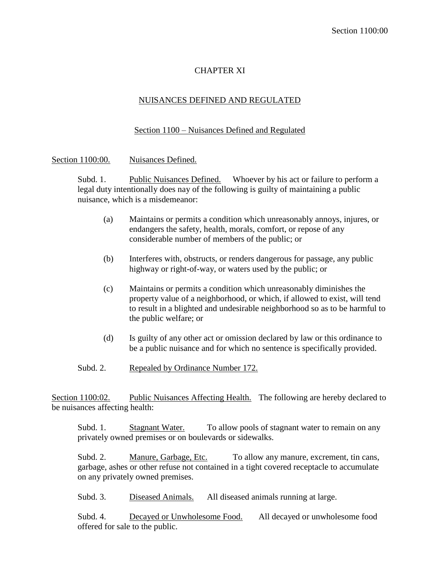## CHAPTER XI

## NUISANCES DEFINED AND REGULATED

## Section 1100 – Nuisances Defined and Regulated

Section 1100:00. Nuisances Defined.

Subd. 1. Public Nuisances Defined. Whoever by his act or failure to perform a legal duty intentionally does nay of the following is guilty of maintaining a public nuisance, which is a misdemeanor:

- (a) Maintains or permits a condition which unreasonably annoys, injures, or endangers the safety, health, morals, comfort, or repose of any considerable number of members of the public; or
- (b) Interferes with, obstructs, or renders dangerous for passage, any public highway or right-of-way, or waters used by the public; or
- (c) Maintains or permits a condition which unreasonably diminishes the property value of a neighborhood, or which, if allowed to exist, will tend to result in a blighted and undesirable neighborhood so as to be harmful to the public welfare; or
- (d) Is guilty of any other act or omission declared by law or this ordinance to be a public nuisance and for which no sentence is specifically provided.
- Subd. 2. Repealed by Ordinance Number 172.

Section 1100:02. Public Nuisances Affecting Health. The following are hereby declared to be nuisances affecting health:

Subd. 1. Stagnant Water. To allow pools of stagnant water to remain on any privately owned premises or on boulevards or sidewalks.

Subd. 2. Manure, Garbage, Etc. To allow any manure, excrement, tin cans, garbage, ashes or other refuse not contained in a tight covered receptacle to accumulate on any privately owned premises.

Subd. 3. Diseased Animals. All diseased animals running at large.

Subd. 4. Decayed or Unwholesome Food. All decayed or unwholesome food offered for sale to the public.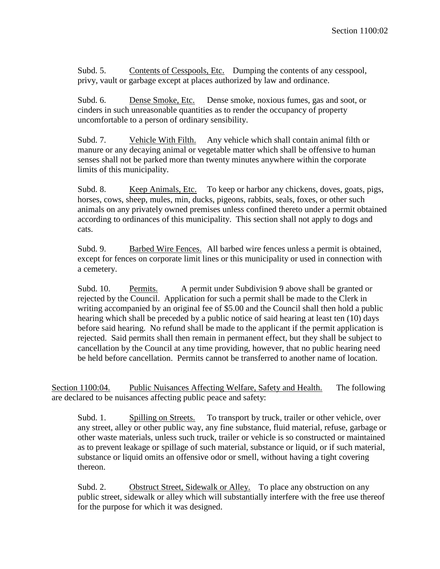Subd. 5. Contents of Cesspools, Etc. Dumping the contents of any cesspool, privy, vault or garbage except at places authorized by law and ordinance.

Subd. 6. Dense Smoke, Etc. Dense smoke, noxious fumes, gas and soot, or cinders in such unreasonable quantities as to render the occupancy of property uncomfortable to a person of ordinary sensibility.

Subd. 7. Vehicle With Filth. Any vehicle which shall contain animal filth or manure or any decaying animal or vegetable matter which shall be offensive to human senses shall not be parked more than twenty minutes anywhere within the corporate limits of this municipality.

Subd. 8. Keep Animals, Etc. To keep or harbor any chickens, doves, goats, pigs, horses, cows, sheep, mules, min, ducks, pigeons, rabbits, seals, foxes, or other such animals on any privately owned premises unless confined thereto under a permit obtained according to ordinances of this municipality. This section shall not apply to dogs and cats.

Subd. 9. Barbed Wire Fences. All barbed wire fences unless a permit is obtained, except for fences on corporate limit lines or this municipality or used in connection with a cemetery.

Subd. 10. Permits. A permit under Subdivision 9 above shall be granted or rejected by the Council. Application for such a permit shall be made to the Clerk in writing accompanied by an original fee of \$5.00 and the Council shall then hold a public hearing which shall be preceded by a public notice of said hearing at least ten (10) days before said hearing. No refund shall be made to the applicant if the permit application is rejected. Said permits shall then remain in permanent effect, but they shall be subject to cancellation by the Council at any time providing, however, that no public hearing need be held before cancellation. Permits cannot be transferred to another name of location.

Section 1100:04. Public Nuisances Affecting Welfare, Safety and Health. The following are declared to be nuisances affecting public peace and safety:

Subd. 1. Spilling on Streets. To transport by truck, trailer or other vehicle, over any street, alley or other public way, any fine substance, fluid material, refuse, garbage or other waste materials, unless such truck, trailer or vehicle is so constructed or maintained as to prevent leakage or spillage of such material, substance or liquid, or if such material, substance or liquid omits an offensive odor or smell, without having a tight covering thereon.

Subd. 2. Obstruct Street, Sidewalk or Alley. To place any obstruction on any public street, sidewalk or alley which will substantially interfere with the free use thereof for the purpose for which it was designed.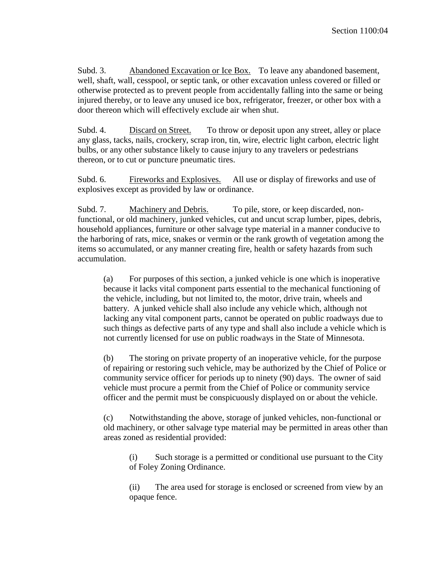Subd. 3. Abandoned Excavation or Ice Box. To leave any abandoned basement, well, shaft, wall, cesspool, or septic tank, or other excavation unless covered or filled or otherwise protected as to prevent people from accidentally falling into the same or being injured thereby, or to leave any unused ice box, refrigerator, freezer, or other box with a door thereon which will effectively exclude air when shut.

Subd. 4. Discard on Street. To throw or deposit upon any street, alley or place any glass, tacks, nails, crockery, scrap iron, tin, wire, electric light carbon, electric light bulbs, or any other substance likely to cause injury to any travelers or pedestrians thereon, or to cut or puncture pneumatic tires.

Subd. 6. Fireworks and Explosives. All use or display of fireworks and use of explosives except as provided by law or ordinance.

Subd. 7. Machinery and Debris. To pile, store, or keep discarded, nonfunctional, or old machinery, junked vehicles, cut and uncut scrap lumber, pipes, debris, household appliances, furniture or other salvage type material in a manner conducive to the harboring of rats, mice, snakes or vermin or the rank growth of vegetation among the items so accumulated, or any manner creating fire, health or safety hazards from such accumulation.

(a) For purposes of this section, a junked vehicle is one which is inoperative because it lacks vital component parts essential to the mechanical functioning of the vehicle, including, but not limited to, the motor, drive train, wheels and battery. A junked vehicle shall also include any vehicle which, although not lacking any vital component parts, cannot be operated on public roadways due to such things as defective parts of any type and shall also include a vehicle which is not currently licensed for use on public roadways in the State of Minnesota.

(b) The storing on private property of an inoperative vehicle, for the purpose of repairing or restoring such vehicle, may be authorized by the Chief of Police or community service officer for periods up to ninety (90) days. The owner of said vehicle must procure a permit from the Chief of Police or community service officer and the permit must be conspicuously displayed on or about the vehicle.

(c) Notwithstanding the above, storage of junked vehicles, non-functional or old machinery, or other salvage type material may be permitted in areas other than areas zoned as residential provided:

(i) Such storage is a permitted or conditional use pursuant to the City of Foley Zoning Ordinance.

(ii) The area used for storage is enclosed or screened from view by an opaque fence.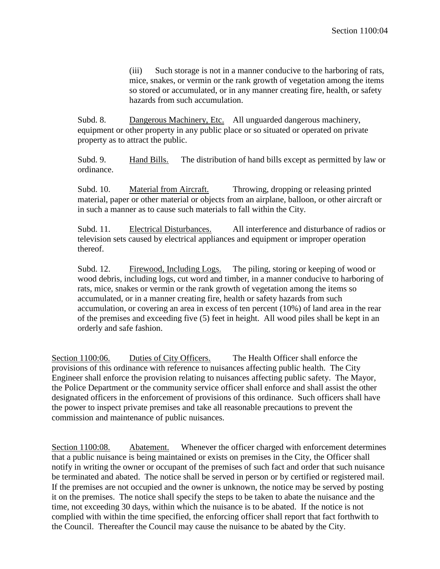(iii) Such storage is not in a manner conducive to the harboring of rats, mice, snakes, or vermin or the rank growth of vegetation among the items so stored or accumulated, or in any manner creating fire, health, or safety hazards from such accumulation.

Subd. 8. Dangerous Machinery, Etc. All unguarded dangerous machinery, equipment or other property in any public place or so situated or operated on private property as to attract the public.

Subd. 9. Hand Bills. The distribution of hand bills except as permitted by law or ordinance.

Subd. 10. Material from Aircraft. Throwing, dropping or releasing printed material, paper or other material or objects from an airplane, balloon, or other aircraft or in such a manner as to cause such materials to fall within the City.

Subd. 11. Electrical Disturbances. All interference and disturbance of radios or television sets caused by electrical appliances and equipment or improper operation thereof.

Subd. 12. Firewood, Including Logs. The piling, storing or keeping of wood or wood debris, including logs, cut word and timber, in a manner conducive to harboring of rats, mice, snakes or vermin or the rank growth of vegetation among the items so accumulated, or in a manner creating fire, health or safety hazards from such accumulation, or covering an area in excess of ten percent (10%) of land area in the rear of the premises and exceeding five (5) feet in height. All wood piles shall be kept in an orderly and safe fashion.

Section 1100:06. Duties of City Officers. The Health Officer shall enforce the provisions of this ordinance with reference to nuisances affecting public health. The City Engineer shall enforce the provision relating to nuisances affecting public safety. The Mayor, the Police Department or the community service officer shall enforce and shall assist the other designated officers in the enforcement of provisions of this ordinance. Such officers shall have the power to inspect private premises and take all reasonable precautions to prevent the commission and maintenance of public nuisances.

Section 1100:08. Abatement. Whenever the officer charged with enforcement determines that a public nuisance is being maintained or exists on premises in the City, the Officer shall notify in writing the owner or occupant of the premises of such fact and order that such nuisance be terminated and abated. The notice shall be served in person or by certified or registered mail. If the premises are not occupied and the owner is unknown, the notice may be served by posting it on the premises. The notice shall specify the steps to be taken to abate the nuisance and the time, not exceeding 30 days, within which the nuisance is to be abated. If the notice is not complied with within the time specified, the enforcing officer shall report that fact forthwith to the Council. Thereafter the Council may cause the nuisance to be abated by the City.